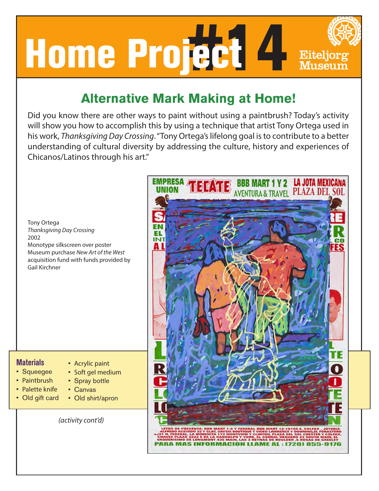

## **Alternative Mark Making at Home!**

Did you know there are other ways to paint without using a paintbrush? Today's activity will show you how to accomplish this by using a technique that artist Tony Ortega used in his work, *Thanksgiving Day Crossing*. "Tony Ortega's lifelong goal is to contribute to a better understanding of cultural diversity by addressing the culture, history and experiences of Chicanos/Latinos through his art."

Tony Ortega *Thanksgiving Day Crossing* 2002 Monotype silkscreen over poster Museum purchase *New Art of the West* acquisition fund with funds provided by Gail Kirchner



## **Materials**

- Squeegee
- Paintbrush
- Palette knife
- Old gift card
- Acrylic paint • Soft gel medium
	- Spray bottle
		- Canvas
- Old shirt/apron

*(activity cont'd)*